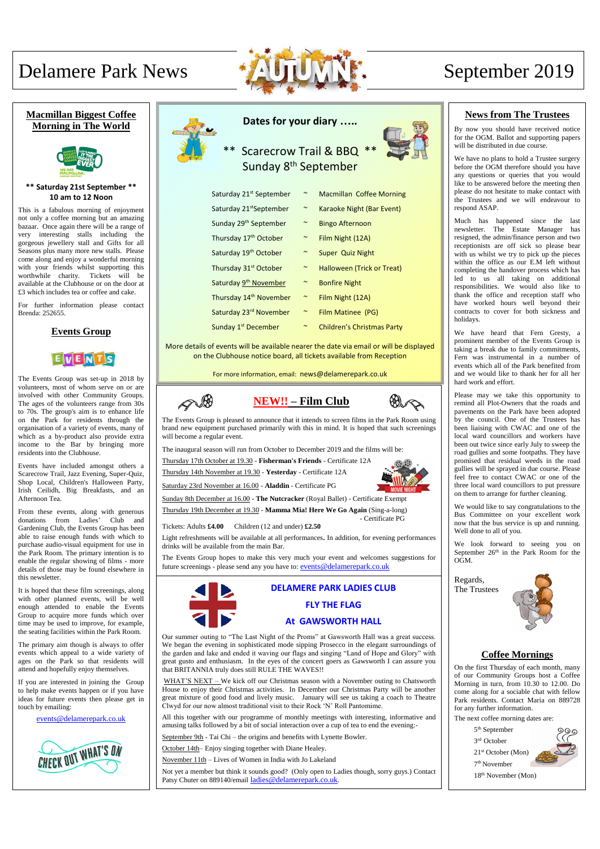# **Dates for your diary …..**

## Scarecrow Trail & BBQ \*\* Sunday 8<sup>th</sup> September

| Saturday 21 <sup>st</sup> September | $\sim$                | <b>Macmillan Coffee Morning</b>   |
|-------------------------------------|-----------------------|-----------------------------------|
| Saturday 21 <sup>st</sup> September | $\sim$                | Karaoke Night (Bar Event)         |
| Sunday 29 <sup>th</sup> September   | $\sim$                | <b>Bingo Afternoon</b>            |
| Thursday 17 <sup>th</sup> October   | $\sim$                | Film Night (12A)                  |
| Saturday 19 <sup>th</sup> October   | $\sim$                | Super Quiz Night                  |
| Thursday 31 <sup>st</sup> October   | $\sim$                | Halloween (Trick or Treat)        |
| Saturday 9 <sup>th</sup> November   | $\sim$                | <b>Bonfire Night</b>              |
| Thursday 14 <sup>th</sup> November  | $\sim$                | Film Night (12A)                  |
| Saturday 23rd November              | $\tilde{\phantom{a}}$ | Film Matinee (PG)                 |
| Sunday 1 <sup>st</sup> December     | $\tilde{ }$           | <b>Children's Christmas Party</b> |

More details of events will be available nearer the date via email or will be displayed on the Clubhouse notice board, all tickets available from Reception

For more information, email: news@delamerepark.co.uk

# Delamere Park News September 2019



#### **Macmillan Biggest Coffee Morning in The World**



#### **\*\* Saturday 21st September \*\* 10 am to 12 Noon**

This is a fabulous morning of enjoyment not only a coffee morning but an amazing bazaar. Once again there will be a range of very interesting stalls including the gorgeous jewellery stall and Gifts for all Seasons plus many more new stalls. Please come along and enjoy a wonderful morning with your friends whilst supporting this worthwhile charity. Tickets will be available at the Clubhouse or on the door at £3 which includes tea or coffee and cake.

For further information please contact Brenda: 252655.

#### **Events Group**



The Events Group was set-up in 2018 by volunteers, most of whom serve on or are involved with other Community Groups. The ages of the volunteers range from 30s to 70s. The group's aim is to enhance life on the Park for residents through the organisation of a variety of events, many of which as a by-product also provide extra income to the Bar by bringing more residents into the Clubhouse.

Events have included amongst others a Scarecrow Trail, Jazz Evening, Super-Quiz, Shop Local, Children's Halloween Party, Irish Ceilidh, Big Breakfasts, and an Afternoon Tea.

From these events, along with generous donations from Ladies' Club and Gardening Club, the Events Group has been able to raise enough funds with which to purchase audio-visual equipment for use in the Park Room. The primary intention is to enable the regular showing of films - more details of those may be found elsewhere in this newsletter.

It is hoped that these film screenings, along with other planned events, will be well enough attended to enable the Events Group to acquire more funds which over time may be used to improve, for example, the seating facilities within the Park Room.



The primary aim though is always to offer events which appeal to a wide variety of ages on the Park so that residents will attend and hopefully enjoy themselves.

If you are interested in joining the Group to help make events happen or if you have ideas for future events then please get in touch by emailing:

WHAT'S NEXT – We kick off our Christmas season with a November outing to Chatsworth House to enjoy their Christmas activities. In December our Christmas Party will be another great mixture of good food and lively music. January will see us taking a coach to Theatre Clwyd for our now almost traditional visit to their Rock 'N' Roll Pantomime.

events@delamerepark.co.uk



### **News from The Trustees**

By now you should have received notice for the OGM. Ballot and supporting papers will be distributed in due course.

Not yet a member but think it sounds good? (Only open to Ladies though, sorry guys.) Contact Patsy Chuter on 889140/email [ladies@delamerepark.co.uk](mailto:ladies@delamerepark.co.uk).

We have no plans to hold a Trustee surgery before the OGM therefore should you have any questions or queries that you would like to be answered before the meeting then please do not hesitate to make contact with the Trustees and we will endeavour to respond ASAP.

drinks will be available from the main Bar. Light refreshments will be available at all performances**.** In addition, for evening performances Much has happened since the last newsletter. The Estate Manager has resigned, the admin/finance person and two receptionists are off sick so please bear with us whilst we try to pick up the pieces within the office as our E.M left without completing the handover process which has led to us all taking on additional responsibilities. We would also like to thank the office and reception staff who have worked hours well beyond their contracts to cover for both sickness and holidays.

We have heard that Fern Gresty, a prominent member of the Events Group is taking a break due to family commitments, Fern was instrumental in a number of events which all of the Park benefited from and we would like to thank her for all her hard work and effort.

Community Events Group would like to welcome you! We will have several meetings The Events Group hopes to make this very much your event and welcomes suggestions for Email Fern Gresty for more details: fern.gresty@hotmail.co.uk future screenings - please send any you have to: events@delamerepark.co.uk

Please may we take this opportunity to remind all Plot-Owners that the roads and pavements on the Park have been adopted by the council. One of the Trustees has been liaising with CWAC and one of the local ward councillors and workers have been out twice since early July to sweep the road gullies and some footpaths. They have promised that residual weeds in the road gullies will be sprayed in due course. Please feel free to contact CWAC or one of the three local ward councillors to put pressure on them to arrange for further cleaning.

We would like to say congratulations to the Bus Committee on your excellent work now that the bus service is up and running. Well done to all of you.

We look forward to seeing you on September  $26<sup>th</sup>$  in the Park Room for the OGM.

Regards, The Trustees



#### **Coffee Mornings**

On the first Thursday of each month, many of our Community Groups host a Coffee Morning in turn, from 10.30 to 12.00. Do come along for a sociable chat with fellow Park residents. Contact Maria on 889728 for any further information.

The next coffee morning dates are:

 th September rd October st October (Mon) th November



18th November (Mon)

Our summer outing to "The Last Night of the Proms" at Gawsworth Hall was a great success.

We began the evening in sophisticated mode sipping Prosecco in the elegant surroundings of the garden and lake and ended it waving our flags and singing "Land of Hope and Glory" with great gusto and enthusiasm. In the eyes of the concert goers as Gawsworth I can assure you that BRITANNIA truly does still RULE THE WAVES!!

All this together with our programme of monthly meetings with interesting, informative and amusing talks followed by a bit of social interaction over a cup of tea to end the evening:-

September 9th - Tai Chi – the origins and benefits with Lynette Bowler.

October 14th– Enjoy singing together with Diane Healey.

November 11th – Lives of Women in India with Jo Lakeland



The Events Group is pleased to announce that it intends to screen films in the Park Room using brand new equipment purchased primarily with this in mind. It is hoped that such screenings will become a regular event.

The inaugural season will run from October to December 2019 and the films will be:

Thursday 17th October at 19.30 - **Fisherman's Friends** - Certificate 12A

Thursday 14th November at 19.30 - **Yesterday** - Certificate 12A

Saturday 23rd November at 16.00 - **Aladdin** - Certificate PG

Sunday 8th December at 16.00 - **The Nutcracker** (Royal Ballet) - Certificate Exempt

Thursday 19th December at 19.30 - **Mamma Mia! Here We Go Again** (Sing-a-long) - Certificate PG

Tickets: Adults **£4.00** Children (12 and under) **£2.50**